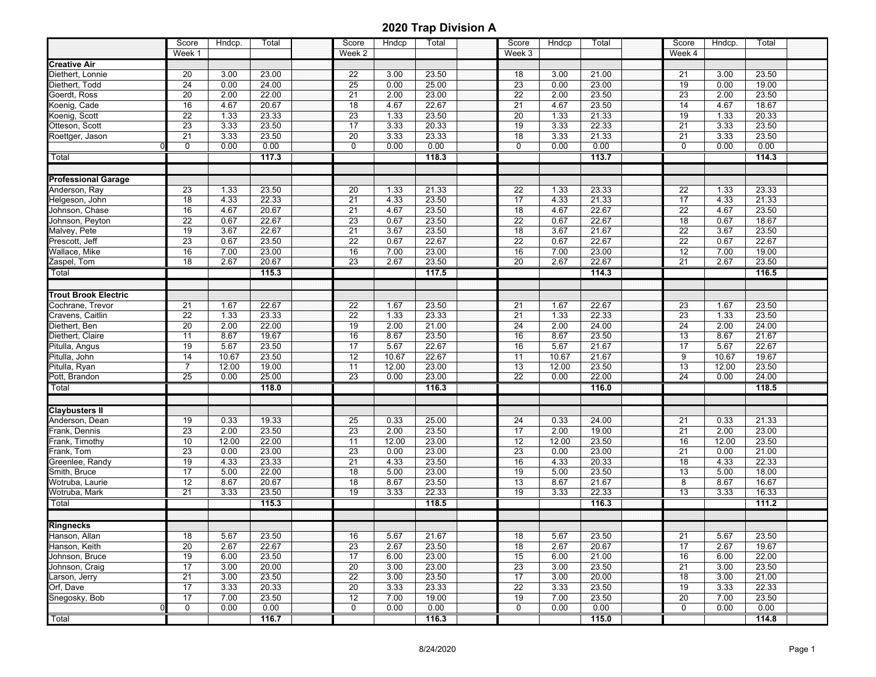|                             | Score<br>Week 1 | Hndcp. | Total | Score<br>Week 2 | Hndcp | Total | Score<br>Week 3 | Hndcp | Total | Score<br>Week 4 | Hndcp. | Total |  |
|-----------------------------|-----------------|--------|-------|-----------------|-------|-------|-----------------|-------|-------|-----------------|--------|-------|--|
| <b>Creative Air</b>         |                 |        |       |                 |       |       |                 |       |       |                 |        |       |  |
| Diethert, Lonnie            | 20              | 3.00   | 23.00 | 22              | 3.00  | 23.50 | 18              | 3.00  | 21.00 | 21              | 3.00   | 23.50 |  |
| Diethert, Todd              | 24              | 0.00   | 24.00 | 25              | 0.00  | 25.00 | 23              | 0.00  | 23.00 | 19              | 0.00   | 19.00 |  |
| Goerdt, Ross                | 20              | 2.00   | 22.00 | 21              | 2.00  | 23.00 | 22              | 2.00  | 23.50 | 23              | 2.00   | 23.50 |  |
| Koenig, Cade                | 16              | 4.67   | 20.67 | 18              | 4.67  | 22.67 | 21              | 4.67  | 23.50 | 14              | 4.67   | 18.67 |  |
| Koenig, Scott               | 22              | 1.33   | 23.33 | 23              | 1.33  | 23.50 | $\overline{20}$ | 1.33  | 21.33 | 19              | 1.33   | 20.33 |  |
| Otteson, Scott              | 23              | 3.33   | 23.50 | 17              | 3.33  | 20.33 | 19              | 3.33  | 22.33 | 21              | 3.33   | 23.50 |  |
|                             | 21              | 3.33   | 23.50 | 20              | 3.33  | 23.33 | 18              | 3.33  | 21.33 | 21              | 3.33   | 23.50 |  |
| Roettger, Jason             | 0               | 0.00   | 0.00  | $\mathbf 0$     | 0.00  | 0.00  | $\mathbf 0$     | 0.00  | 0.00  | $\mathbf 0$     | 0.00   | 0.00  |  |
|                             |                 |        |       |                 |       |       |                 |       |       |                 |        |       |  |
| Total                       |                 |        | 117.3 |                 |       | 118.3 |                 |       | 113.7 |                 |        | 114.3 |  |
| <b>Professional Garage</b>  |                 |        |       |                 |       |       |                 |       |       |                 |        |       |  |
| Anderson, Ray               | 23              | 1.33   | 23.50 | 20              | 1.33  | 21.33 | 22              | 1.33  | 23.33 | $\overline{22}$ | 1.33   | 23.33 |  |
| Helgeson, John              | 18              | 4.33   | 22.33 | 21              | 4.33  | 23.50 | $\overline{17}$ | 4.33  | 21.33 | $\overline{17}$ | 4.33   | 21.33 |  |
| Johnson, Chase              | 16              | 4.67   | 20.67 | 21              | 4.67  | 23.50 | 18              | 4.67  | 22.67 | 22              | 4.67   | 23.50 |  |
| Johnson, Peyton             | 22              | 0.67   | 22.67 | 23              | 0.67  | 23.50 | 22              | 0.67  | 22.67 | $\overline{18}$ | 0.67   | 18.67 |  |
| Malvey, Pete                | 19              | 3.67   | 22.67 | 21              | 3.67  | 23.50 | 18              | 3.67  | 21.67 | $\overline{22}$ | 3.67   | 23.50 |  |
| Prescott, Jeff              | 23              | 0.67   | 23.50 | $\overline{22}$ | 0.67  | 22.67 | 22              | 0.67  | 22.67 | $\overline{22}$ | 0.67   | 22.67 |  |
| Wallace, Mike               | 16              | 7.00   | 23.00 | 16              | 7.00  | 23.00 | 16              | 7.00  | 23.00 | $\overline{12}$ | 7.00   | 19.00 |  |
| Zaspel, Tom                 | 18              | 2.67   | 20.67 | $\overline{23}$ | 2.67  | 23.50 | 20              | 2.67  | 22.67 | $\overline{21}$ | 2.67   | 23.50 |  |
|                             |                 |        | 115.3 |                 |       | 117.5 |                 |       | 114.3 |                 |        | 116.5 |  |
| Total                       |                 |        |       |                 |       |       |                 |       |       |                 |        |       |  |
| <b>Trout Brook Electric</b> |                 |        |       |                 |       |       |                 |       |       |                 |        |       |  |
| Cochrane, Trevor            | 21              | 1.67   | 22.67 | 22              | 1.67  | 23.50 | 21              | 1.67  | 22.67 | 23              | 1.67   | 23.50 |  |
| Cravens, Caitlin            | $\overline{22}$ | 1.33   | 23.33 | 22              | 1.33  | 23.33 | 21              | 1.33  | 22.33 | $\overline{23}$ | 1.33   | 23.50 |  |
| Diethert, Ben               | 20              | 2.00   | 22.00 | 19              | 2.00  | 21.00 | 24              | 2.00  | 24.00 | $\overline{24}$ | 2.00   | 24.00 |  |
| Diethert, Claire            | 11              | 8.67   | 19.67 | 16              | 8.67  | 23.50 | 16              | 8.67  | 23.50 | $\overline{13}$ | 8.67   | 21.67 |  |
| Pitulla, Angus              | 19              | 5.67   | 23.50 | 17              | 5.67  | 22.67 | 16              | 5.67  | 21.67 | $\overline{17}$ | 5.67   | 22.67 |  |
| Pitulla, John               | 14              | 10.67  | 23.50 | 12              | 10.67 | 22.67 | 11              | 10.67 | 21.67 | 9               | 10.67  | 19.67 |  |
| Pitulla, Ryan               | $\overline{7}$  | 12.00  | 19.00 | 11              | 12.00 | 23.00 | $\overline{13}$ | 12.00 | 23.50 | 13              | 12.00  | 23.50 |  |
| Pott, Brandon               | 25              | 0.00   | 25.00 | 23              | 0.00  | 23.00 | 22              | 0.00  | 22.00 | 24              | 0.00   | 24.00 |  |
| Total                       |                 |        | 118.0 |                 |       | 116.3 |                 |       | 116.0 |                 |        | 118.5 |  |
|                             |                 |        |       |                 |       |       |                 |       |       |                 |        |       |  |
| <b>Claybusters II</b>       |                 |        |       |                 |       |       |                 |       |       |                 |        |       |  |
| Anderson, Dean              | 19              | 0.33   | 19.33 | 25              | 0.33  | 25.00 | 24              | 0.33  | 24.00 | 21              | 0.33   | 21.33 |  |
| Frank, Dennis               | 23              | 2.00   | 23.50 | 23              | 2.00  | 23.50 | 17              | 2.00  | 19.00 | 21              | 2.00   | 23.00 |  |
| Frank, Timothy              | 10              | 12.00  | 22.00 | 11              | 12.00 | 23.00 | 12              | 12.00 | 23.50 | 16              | 12.00  | 23.50 |  |
| Frank, Tom                  | 23              | 0.00   | 23.00 | 23              | 0.00  | 23.00 | 23              | 0.00  | 23.00 | 21              | 0.00   | 21.00 |  |
| Greenlee, Randy             | 19              | 4.33   | 23.33 | 21              | 4.33  | 23.50 | 16              | 4.33  | 20.33 | 18              | 4.33   | 22.33 |  |
| Smith, Bruce                | 17              | 5.00   | 22.00 | $\overline{18}$ | 5.00  | 23.00 | 19              | 5.00  | 23.50 | $\overline{13}$ | 5.00   | 18.00 |  |
| Wotruba, Laurie             | 12              | 8.67   | 20.67 | 18              | 8.67  | 23.50 | 13              | 8.67  | 21.67 | 8               | 8.67   | 16.67 |  |
| Wotruba, Mark               | 21              | 3.33   | 23.50 | $\overline{19}$ | 3.33  | 22.33 | 19              | 3.33  | 22.33 | $\overline{13}$ | 3.33   | 16.33 |  |
| Total                       |                 |        | 115.3 |                 |       | 118.5 |                 |       | 116.3 |                 |        | 111.2 |  |
|                             |                 |        |       |                 |       |       |                 |       |       |                 |        |       |  |
| <b>Ringnecks</b>            |                 |        |       |                 |       |       |                 |       |       |                 |        |       |  |
| Hanson, Allan               | 18              | 5.67   | 23.50 | 16              | 5.67  | 21.67 | 18              | 5.67  | 23.50 | 21              | 5.67   | 23.50 |  |
| Hanson, Keith               | 20              | 2.67   | 22.67 | 23              | 2.67  | 23.50 | 18              | 2.67  | 20.67 | 17              | 2.67   | 19.67 |  |
| Johnson, Bruce              | 19              | 6.00   | 23.50 | 17              | 6.00  | 23.00 | 15              | 6.00  | 21.00 | 16              | 6.00   | 22.00 |  |
| Johnson, Craig              | 17              | 3.00   | 20.00 | 20              | 3.00  | 23.00 | 23              | 3.00  | 23.50 | $\overline{21}$ | 3.00   | 23.50 |  |
| Larson, Jerry               | 21              | 3.00   | 23.50 | 22              | 3.00  | 23.50 | 17              | 3.00  | 20.00 | 18              | 3.00   | 21.00 |  |
| Orf, Dave                   | 17              | 3.33   | 20.33 | 20              | 3.33  | 23.33 | 22              | 3.33  | 23.50 | 19              | 3.33   | 22.33 |  |
| Snegosky, Bob               | $\overline{17}$ | 7.00   | 23.50 | $\overline{12}$ | 7.00  | 19.00 | 19              | 7.00  | 23.50 | $\overline{20}$ | 7.00   | 23.50 |  |
|                             | 0               | 0.00   | 0.00  | 0               | 0.00  | 0.00  | 0               | 0.00  | 0.00  | 0               | 0.00   | 0.00  |  |
| Total                       |                 |        | 116.7 |                 |       | 116.3 |                 |       | 115.0 |                 |        | 114.8 |  |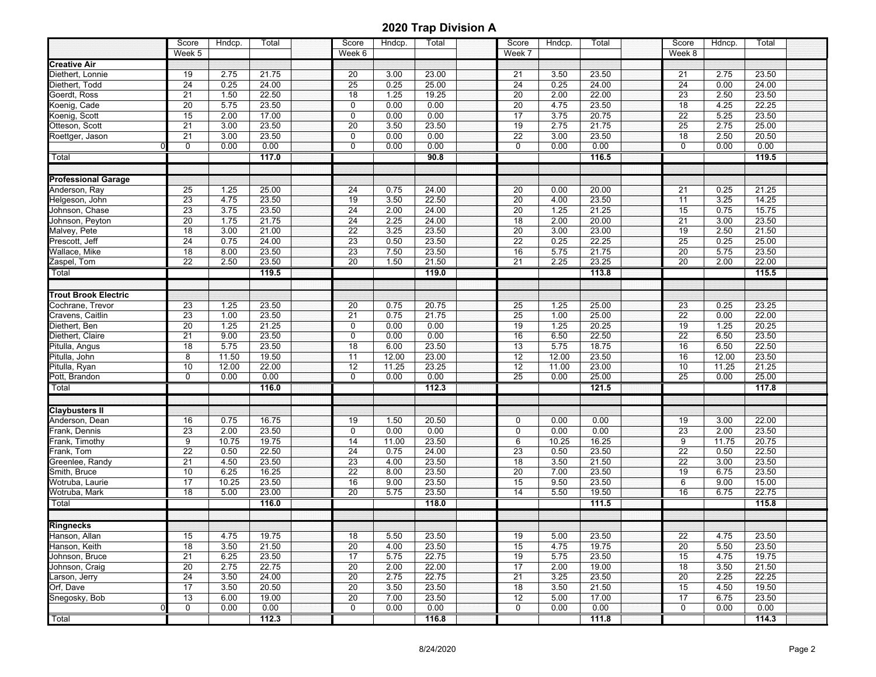|                             | Score                 | Hndcp. | Total | Score           | Hndcp. | Total | Score           | Hndcp. | Total | Score           | Hdncp. | Total |  |
|-----------------------------|-----------------------|--------|-------|-----------------|--------|-------|-----------------|--------|-------|-----------------|--------|-------|--|
|                             | Week 5                |        |       | Week 6          |        |       | Week 7          |        |       | Week 8          |        |       |  |
| <b>Creative Air</b>         |                       |        |       |                 |        |       |                 |        |       |                 |        |       |  |
| Diethert, Lonnie            | 19                    | 2.75   | 21.75 | 20              | 3.00   | 23.00 | 21              | 3.50   | 23.50 | 21              | 2.75   | 23.50 |  |
| Diethert, Todd              | 24                    | 0.25   | 24.00 | 25              | 0.25   | 25.00 | 24              | 0.25   | 24.00 | 24              | 0.00   | 24.00 |  |
| Goerdt, Ross                | 21                    | 1.50   | 22.50 | 18              | 1.25   | 19.25 | 20              | 2.00   | 22.00 | 23              | 2.50   | 23.50 |  |
| Koenig, Cade                | 20                    | 5.75   | 23.50 | $\pmb{0}$       | 0.00   | 0.00  | 20              | 4.75   | 23.50 | $\overline{18}$ | 4.25   | 22.25 |  |
| Koenig, Scott               | 15                    | 2.00   | 17.00 | $\mathbf 0$     | 0.00   | 0.00  | $\overline{17}$ | 3.75   | 20.75 | $\overline{22}$ | 5.25   | 23.50 |  |
| Otteson, Scott              | 21                    | 3.00   | 23.50 | 20              | 3.50   | 23.50 | 19              | 2.75   | 21.75 | 25              | 2.75   | 25.00 |  |
| Roettger, Jason             | 21                    | 3.00   | 23.50 | $\Omega$        | 0.00   | 0.00  | 22              | 3.00   | 23.50 | 18              | 2.50   | 20.50 |  |
| $\Omega$                    | 0                     | 0.00   | 0.00  | $\mathbf 0$     | 0.00   | 0.00  | 0               | 0.00   | 0.00  | $\mathbf 0$     | 0.00   | 0.00  |  |
| Total                       |                       |        | 117.0 |                 |        | 90.8  |                 |        | 116.5 |                 |        | 119.5 |  |
|                             |                       |        |       |                 |        |       |                 |        |       |                 |        |       |  |
| <b>Professional Garage</b>  |                       |        |       |                 |        |       |                 |        |       |                 |        |       |  |
| Anderson, Ray               | $\overline{25}$       | 1.25   | 25.00 | 24              | 0.75   | 24.00 | 20              | 0.00   | 20.00 | 21              | 0.25   | 21.25 |  |
| Helgeson, John              | 23                    | 4.75   | 23.50 | $\overline{19}$ | 3.50   | 22.50 | 20              | 4.00   | 23.50 | $\overline{11}$ | 3.25   | 14.25 |  |
| Johnson, Chase              | 23                    | 3.75   | 23.50 | 24              | 2.00   | 24.00 | 20              | 1.25   | 21.25 | 15              | 0.75   | 15.75 |  |
| Johnson, Peyton             | 20                    | 1.75   | 21.75 | 24              | 2.25   | 24.00 | 18              | 2.00   | 20.00 | 21              | 3.00   | 23.50 |  |
| Malvey, Pete                | 18                    | 3.00   | 21.00 | $\overline{22}$ | 3.25   | 23.50 | 20              | 3.00   | 23.00 | 19              | 2.50   | 21.50 |  |
|                             |                       | 0.75   |       | $\overline{23}$ |        |       | $\overline{22}$ | 0.25   |       | 25              | 0.25   |       |  |
| Prescott, Jeff              | 24                    |        | 24.00 |                 | 0.50   | 23.50 |                 |        | 22.25 |                 |        | 25.00 |  |
| Wallace, Mike               | 18                    | 8.00   | 23.50 | 23              | 7.50   | 23.50 | 16              | 5.75   | 21.75 | 20              | 5.75   | 23.50 |  |
| Zaspel, Tom                 | 22                    | 2.50   | 23.50 | $\overline{20}$ | 1.50   | 21.50 | 21              | 2.25   | 23.25 | 20              | 2.00   | 22.00 |  |
| Total                       |                       |        | 119.5 |                 |        | 119.0 |                 |        | 113.8 |                 |        | 115.5 |  |
|                             |                       |        |       |                 |        |       |                 |        |       |                 |        |       |  |
| <b>Trout Brook Electric</b> |                       |        |       |                 |        |       |                 |        |       |                 |        |       |  |
| Cochrane, Trevor            | 23                    | 1.25   | 23.50 | 20              | 0.75   | 20.75 | 25              | 1.25   | 25.00 | 23              | 0.25   | 23.25 |  |
| Cravens, Caitlin            | $\overline{23}$       | 1.00   | 23.50 | 21              | 0.75   | 21.75 | 25              | 1.00   | 25.00 | $\overline{22}$ | 0.00   | 22.00 |  |
| Diethert, Ben               | 20                    | 1.25   | 21.25 | $\mathbf 0$     | 0.00   | 0.00  | 19              | 1.25   | 20.25 | $\overline{19}$ | 1.25   | 20.25 |  |
| Diethert, Claire            | $\overline{21}$       | 9.00   | 23.50 | $\mathbf 0$     | 0.00   | 0.00  | 16              | 6.50   | 22.50 | $\overline{22}$ | 6.50   | 23.50 |  |
| Pitulla, Angus              | 18                    | 5.75   | 23.50 | 18              | 6.00   | 23.50 | 13              | 5.75   | 18.75 | 16              | 6.50   | 22.50 |  |
| Pitulla, John               | 8                     | 11.50  | 19.50 | 11              | 12.00  | 23.00 | 12              | 12.00  | 23.50 | 16              | 12.00  | 23.50 |  |
| Pitulla, Ryan               | 10                    | 12.00  | 22.00 | 12              | 11.25  | 23.25 | $\overline{12}$ | 11.00  | 23.00 | 10              | 11.25  | 21.25 |  |
| Pott, Brandon               | $\Omega$              | 0.00   | 0.00  | $\mathbf 0$     | 0.00   | 0.00  | $\overline{25}$ | 0.00   | 25.00 | 25              | 0.00   | 25.00 |  |
| Total                       |                       |        | 116.0 |                 |        | 112.3 |                 |        | 121.5 |                 |        | 117.8 |  |
|                             |                       |        |       |                 |        |       |                 |        |       |                 |        |       |  |
| <b>Claybusters II</b>       |                       |        |       |                 |        |       |                 |        |       |                 |        |       |  |
| Anderson, Dean              | 16                    | 0.75   | 16.75 | 19              | 1.50   | 20.50 | 0               | 0.00   | 0.00  | 19              | 3.00   | 22.00 |  |
| Frank, Dennis               | 23                    | 2.00   | 23.50 | $\mathbf 0$     | 0.00   | 0.00  | 0               | 0.00   | 0.00  | 23              | 2.00   | 23.50 |  |
| Frank, Timothy              | 9                     | 10.75  | 19.75 | 14              | 11.00  | 23.50 | 6               | 10.25  | 16.25 | 9               | 11.75  | 20.75 |  |
| Frank, Tom                  | $\overline{22}$       | 0.50   | 22.50 | $\overline{24}$ | 0.75   | 24.00 | 23              | 0.50   | 23.50 | $\overline{22}$ | 0.50   | 22.50 |  |
| Greenlee, Randy             | 21                    | 4.50   | 23.50 | $\overline{23}$ | 4.00   | 23.50 | $\overline{18}$ | 3.50   | 21.50 | $\overline{22}$ | 3.00   | 23.50 |  |
| Smith, Bruce                | 10                    | 6.25   | 16.25 | $\overline{22}$ | 8.00   | 23.50 | 20              | 7.00   | 23.50 | $\overline{19}$ | 6.75   | 23.50 |  |
| Wotruba, Laurie             | 17                    | 10.25  | 23.50 | 16              | 9.00   | 23.50 | 15              | 9.50   | 23.50 | 6               | 9.00   | 15.00 |  |
| Wotruba, Mark               | 18                    | 5.00   | 23.00 | 20              | 5.75   | 23.50 | 14              | 5.50   | 19.50 | 16              | 6.75   | 22.75 |  |
| Total                       |                       |        | 116.0 |                 |        | 118.0 |                 |        | 111.5 |                 |        | 115.8 |  |
|                             |                       |        |       |                 |        |       |                 |        |       |                 |        |       |  |
| <b>Ringnecks</b>            |                       |        |       |                 |        |       |                 |        |       |                 |        |       |  |
|                             |                       |        | 19.75 |                 |        |       |                 |        |       |                 | 4.75   | 23.50 |  |
| Hanson, Allan               | 15<br>$\overline{18}$ | 4.75   |       | 18              | 5.50   | 23.50 | 19              | 5.00   | 23.50 | 22              |        |       |  |
| Hanson, Keith               |                       | 3.50   | 21.50 | 20              | 4.00   | 23.50 | 15              | 4.75   | 19.75 | $\overline{20}$ | 5.50   | 23.50 |  |
| Johnson, Bruce              | 21                    | 6.25   | 23.50 | 17              | 5.75   | 22.75 | 19              | 5.75   | 23.50 | 15              | 4.75   | 19.75 |  |
| Johnson, Craig              | 20                    | 2.75   | 22.75 | 20              | 2.00   | 22.00 | 17              | 2.00   | 19.00 | 18              | 3.50   | 21.50 |  |
| Larson, Jerry               | 24                    | 3.50   | 24.00 | 20              | 2.75   | 22.75 | 21              | 3.25   | 23.50 | 20              | 2.25   | 22.25 |  |
| Orf, Dave                   | $\overline{17}$       | 3.50   | 20.50 | 20              | 3.50   | 23.50 | 18              | 3.50   | 21.50 | 15              | 4.50   | 19.50 |  |
| Snegosky, Bob               | $\overline{13}$       | 6.00   | 19.00 | $\overline{20}$ | 7.00   | 23.50 | $\overline{12}$ | 5.00   | 17.00 | $\overline{17}$ | 6.75   | 23.50 |  |
|                             | 0                     | 0.00   | 0.00  | 0               | 0.00   | 0.00  | 0               | 0.00   | 0.00  | 0               | 0.00   | 0.00  |  |
| Total                       |                       |        | 112.3 |                 |        | 116.8 |                 |        | 111.8 |                 |        | 114.3 |  |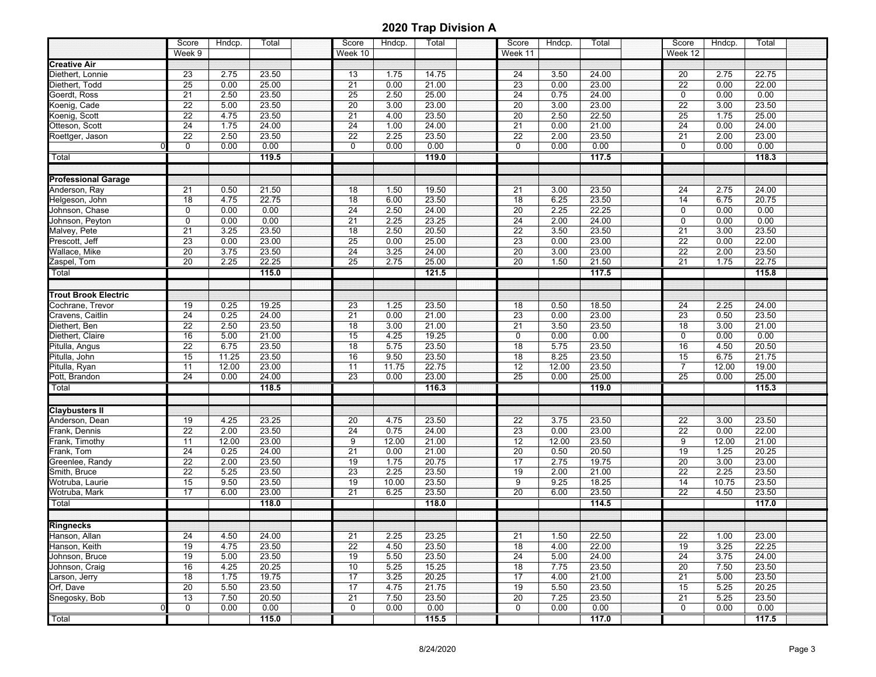|                                 | Score                 | Hndcp.        | Total          | Score           | Hndcp.        | Total          | Score                 | Hndcp.        | Total          | Score                | Hndcp.        | Total          |  |
|---------------------------------|-----------------------|---------------|----------------|-----------------|---------------|----------------|-----------------------|---------------|----------------|----------------------|---------------|----------------|--|
|                                 | Week 9                |               |                | Week 10         |               |                | Week 11               |               |                | Week 12              |               |                |  |
| <b>Creative Air</b>             |                       |               |                |                 |               |                |                       |               |                |                      |               |                |  |
| Diethert, Lonnie                | 23                    | 2.75          | 23.50          | 13              | 1.75          | 14.75          | 24                    | 3.50          | 24.00          | 20                   | 2.75          | 22.75          |  |
| Diethert, Todd                  | 25                    | 0.00          | 25.00          | 21              | 0.00          | 21.00          | 23                    | 0.00          | 23.00          | 22                   | 0.00          | 22.00          |  |
| Goerdt, Ross                    | 21                    | 2.50          | 23.50          | 25              | 2.50          | 25.00          | 24                    | 0.75          | 24.00          | $\mathbf 0$          | 0.00          | 0.00           |  |
| Koenig, Cade                    | 22                    | 5.00          | 23.50          | 20              | 3.00          | 23.00          | 20                    | 3.00          | 23.00          | $\overline{22}$      | 3.00          | 23.50          |  |
| Koenig, Scott                   | $\overline{22}$       | 4.75          | 23.50          | 21              | 4.00          | 23.50          | 20                    | 2.50          | 22.50          | 25                   | 1.75          | 25.00          |  |
| Otteson, Scott                  | 24                    | 1.75          | 24.00          | 24              | 1.00          | 24.00          | 21                    | 0.00          | 21.00          | 24                   | 0.00          | 24.00          |  |
| Roettger, Jason                 | 22                    | 2.50          | 23.50          | 22              | 2.25          | 23.50          | 22                    | 2.00          | 23.50          | 21                   | 2.00          | 23.00          |  |
| 0                               | 0                     | 0.00          | 0.00           | $\mathbf 0$     | 0.00          | 0.00           | 0                     | 0.00          | 0.00           | $\mathbf 0$          | 0.00          | 0.00           |  |
| Total                           |                       |               | 119.5          |                 |               | 119.0          |                       |               | 117.5          |                      |               | 118.3          |  |
|                                 |                       |               |                |                 |               |                |                       |               |                |                      |               |                |  |
| <b>Professional Garage</b>      |                       |               |                |                 |               |                |                       |               |                |                      |               |                |  |
| Anderson, Ray                   | 21                    | 0.50          | 21.50          | 18              | 1.50          | 19.50          | 21                    | 3.00          | 23.50          | 24                   | 2.75          | 24.00          |  |
| Helgeson, John                  | 18                    | 4.75          | 22.75          | $\overline{18}$ | 6.00          | 23.50          | 18                    | 6.25          | 23.50          | 14                   | 6.75          | 20.75          |  |
| Johnson, Chase                  | 0                     | 0.00          | 0.00           | 24              | 2.50          | 24.00          | 20                    | 2.25          | 22.25          | $\mathbf 0$          | 0.00          | 0.00           |  |
| Johnson, Peyton                 | 0                     | 0.00          | 0.00           | 21              | 2.25          | 23.25          | 24                    | 2.00          | 24.00          | $\mathbf 0$          | 0.00          | 0.00           |  |
| Malvey, Pete                    | 21                    | 3.25          | 23.50          | 18              | 2.50          | 20.50          | $\overline{22}$       | 3.50          | 23.50          | 21                   | 3.00          | 23.50          |  |
| Prescott, Jeff                  | 23                    | 0.00          | 23.00          | $\overline{25}$ | 0.00          | 25.00          | 23                    | 0.00          | 23.00          | $\overline{22}$      | 0.00          | 22.00          |  |
| Wallace, Mike                   | $\overline{20}$       | 3.75          | 23.50          | $\overline{24}$ | 3.25          | 24.00          | 20                    | 3.00          | 23.00          | $\overline{22}$      | 2.00          | 23.50          |  |
| Zaspel, Tom                     | 20                    | 2.25          | 22.25          | $\overline{25}$ | 2.75          | 25.00          | 20                    | 1.50          | 21.50          | $\overline{21}$      | 1.75          | 22.75          |  |
| Total                           |                       |               | 115.0          |                 |               | 121.5          |                       |               | 117.5          |                      |               | 115.8          |  |
|                                 |                       |               |                |                 |               |                |                       |               |                |                      |               |                |  |
| <b>Trout Brook Electric</b>     |                       |               |                |                 |               |                |                       |               |                |                      |               |                |  |
| Cochrane, Trevor                | 19                    | 0.25          | 19.25          | 23              | 1.25          | 23.50          | 18                    | 0.50          | 18.50          | 24                   | 2.25          | 24.00          |  |
| Cravens, Caitlin                | $\overline{24}$       | 0.25          | 24.00          | 21              | 0.00          | 21.00          | 23                    | 0.00          | 23.00          | 23                   | 0.50          | 23.50          |  |
| Diethert, Ben                   | 22                    | 2.50          | 23.50          | $\overline{18}$ | 3.00          | 21.00          | $\overline{21}$       | 3.50          | 23.50          | $\overline{18}$      | 3.00          | 21.00          |  |
| Diethert, Claire                | 16                    | 5.00          | 21.00          | 15              | 4.25          | 19.25          | 0                     | 0.00          | 0.00           | $\mathbf 0$          | 0.00          | 0.00           |  |
| Pitulla, Angus                  | 22                    | 6.75          | 23.50          | 18              | 5.75          | 23.50          | 18                    | 5.75          | 23.50          | 16                   | 4.50          | 20.50          |  |
| Pitulla, John                   | 15                    | 11.25         | 23.50          | 16              | 9.50          | 23.50          | 18                    | 8.25          | 23.50          | 15                   | 6.75          | 21.75          |  |
| Pitulla, Ryan                   | 11                    | 12.00         | 23.00          | 11              | 11.75         | 22.75          | $\overline{12}$       | 12.00         | 23.50          | $\overline{7}$       | 12.00         | 19.00          |  |
| Pott, Brandon                   | 24                    | 0.00          | 24.00          | 23              | 0.00          | 23.00          | $\overline{25}$       | 0.00          | 25.00          | 25                   | 0.00          | 25.00          |  |
| Total                           |                       |               | 118.5          |                 |               | 116.3          |                       |               | 119.0          |                      |               | 115.3          |  |
|                                 |                       |               |                |                 |               |                |                       |               |                |                      |               |                |  |
|                                 |                       |               |                |                 |               |                |                       |               |                |                      |               |                |  |
| <b>Claybusters II</b>           |                       |               | 23.25          |                 |               |                |                       |               |                | $\overline{22}$      |               |                |  |
| Anderson, Dean                  | 19<br>$\overline{22}$ | 4.25<br>2.00  | 23.50          | 20<br>24        | 4.75<br>0.75  | 23.50<br>24.00 | 22                    | 3.75          | 23.50          | 22                   | 3.00          | 23.50<br>22.00 |  |
| Frank, Dennis                   |                       |               |                |                 |               |                | 23                    | 0.00<br>12.00 | 23.00          |                      | 0.00          |                |  |
| Frank, Timothy<br>Frank, Tom    | 11<br>$\overline{24}$ | 12.00<br>0.25 | 23.00<br>24.00 | 9<br>21         | 12.00<br>0.00 | 21.00<br>21.00 | 12<br>$\overline{20}$ | 0.50          | 23.50<br>20.50 | 9<br>$\overline{19}$ | 12.00<br>1.25 | 21.00<br>20.25 |  |
|                                 | $\overline{22}$       |               |                | $\overline{19}$ |               |                | $\overline{17}$       | 2.75          |                | 20                   |               |                |  |
| Greenlee, Randy<br>Smith, Bruce | $\overline{22}$       | 2.00<br>5.25  | 23.50<br>23.50 | $\overline{23}$ | 1.75<br>2.25  | 20.75<br>23.50 | 19                    | 2.00          | 19.75<br>21.00 | 22                   | 3.00<br>2.25  | 23.00<br>23.50 |  |
| Wotruba, Laurie                 |                       |               |                |                 |               |                |                       |               |                |                      |               |                |  |
|                                 | 15<br>17              | 9.50<br>6.00  | 23.50          | 19<br>21        | 10.00         | 23.50          | 9<br>20               | 9.25<br>6.00  | 18.25<br>23.50 | 14<br>22             | 10.75<br>4.50 | 23.50          |  |
| Wotruba, Mark                   |                       |               | 23.00          |                 | 6.25          | 23.50          |                       |               |                |                      |               | 23.50          |  |
| Total                           |                       |               | 118.0          |                 |               | 118.0          |                       |               | 114.5          |                      |               | 117.0          |  |
|                                 |                       |               |                |                 |               |                |                       |               |                |                      |               |                |  |
| <b>Ringnecks</b>                |                       |               |                |                 |               |                |                       |               |                |                      |               |                |  |
| Hanson, Allan                   | 24                    | 4.50          | 24.00          | 21              | 2.25          | 23.25          | 21                    | 1.50          | 22.50          | 22                   | 1.00          | 23.00          |  |
| Hanson, Keith                   | 19                    | 4.75          | 23.50          | $\overline{22}$ | 4.50          | 23.50          | 18                    | 4.00          | 22.00          | $\overline{19}$      | 3.25          | 22.25          |  |
| Johnson, Bruce                  | 19                    | 5.00          | 23.50          | 19              | 5.50          | 23.50          | 24                    | 5.00          | 24.00          | $\overline{24}$      | 3.75          | 24.00          |  |
| Johnson, Craig                  | 16                    | 4.25          | 20.25          | 10              | 5.25          | 15.25          | 18                    | 7.75          | 23.50          | 20                   | 7.50          | 23.50          |  |
| Larson, Jerry                   | 18                    | 1.75          | 19.75          | 17              | 3.25          | 20.25          | 17                    | 4.00          | 21.00          | 21                   | 5.00          | 23.50          |  |
| Orf, Dave                       | 20                    | 5.50          | 23.50          | 17              | 4.75          | 21.75          | 19                    | 5.50          | 23.50          | 15                   | 5.25          | 20.25          |  |
| Snegosky, Bob                   | $\overline{13}$       | 7.50          | 20.50          | $\overline{21}$ | 7.50          | 23.50          | 20                    | 7.25          | 23.50          | 21                   | 5.25          | 23.50          |  |
|                                 | 0                     | 0.00          | 0.00           | 0               | 0.00          | 0.00           | 0                     | 0.00          | 0.00           | 0                    | 0.00          | 0.00           |  |
| Total                           |                       |               | 115.0          |                 |               | 115.5          |                       |               | 117.0          |                      |               | 117.5          |  |